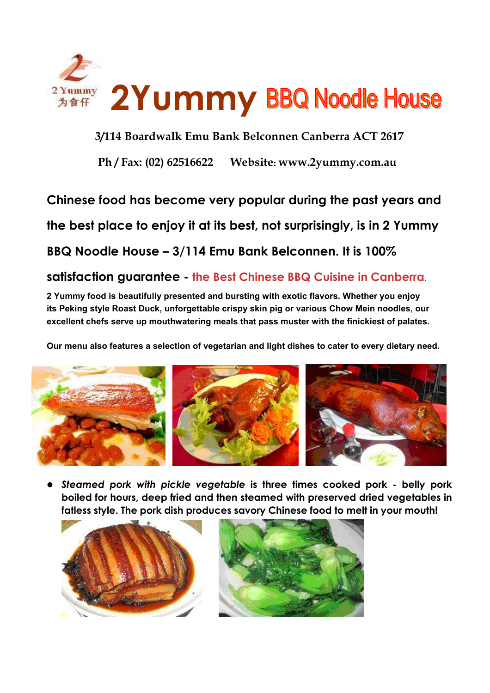

**3/114 Boardwalk Emu Bank Belconnen Canberra ACT 2617**

**Ph / Fax: (02) 62516622 Website: www.2yummy.com.au**

**Chinese food has become very popular during the past years and** 

**the best place to enjoy it at its best, not surprisingly, is in 2 Yummy** 

**BBQ Noodle House – 3/114 Emu Bank Belconnen. It is 100%** 

## **satisfaction guarantee - the Best Chinese BBQ Cuisine in Canberra**.

**2 Yummy food is beautifully presented and bursting with exotic flavors. Whether you enjoy its Peking style Roast Duck, unforgettable crispy skin pig or various Chow Mein noodles, our excellent chefs serve up mouthwatering meals that pass muster with the finickiest of palates.** 

**Our menu also features a selection of vegetarian and light dishes to cater to every dietary need.**



**•** Steamed pork with pickle vegetable is three times cooked pork - belly pork **boiled for hours, deep fried and then steamed with preserved dried vegetables in fatless style. The pork dish produces savory Chinese food to melt in your mouth! E**